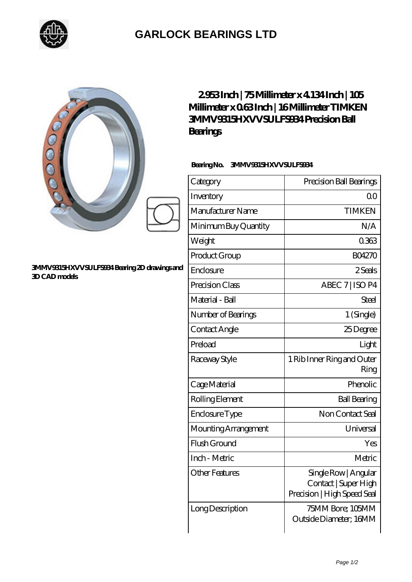

## **[GARLOCK BEARINGS LTD](https://letterstopriests.com)**

| 000                                                           | 2953Inch   75Millimeter x 4 134Inch   105<br>Millimeter x 063Inch   16Millimeter TIMKEN<br>3MMV9315HXVVSULFS934Precision Ball<br>Bearings<br>BearingNo.<br>3MMV9315HXVVSULFS934 |                                                                             |
|---------------------------------------------------------------|---------------------------------------------------------------------------------------------------------------------------------------------------------------------------------|-----------------------------------------------------------------------------|
|                                                               | Category                                                                                                                                                                        | Precision Ball Bearings                                                     |
|                                                               | Inventory                                                                                                                                                                       | 0 <sup>0</sup>                                                              |
|                                                               | Manufacturer Name                                                                                                                                                               | <b>TIMKEN</b>                                                               |
|                                                               | Minimum Buy Quantity                                                                                                                                                            | N/A                                                                         |
|                                                               | Weight                                                                                                                                                                          | 0363                                                                        |
|                                                               | Product Group                                                                                                                                                                   | <b>BO4270</b>                                                               |
| 3MMV9315HXVVSULFS934 Bearing 2D drawings and<br>3D CAD models | Enclosure                                                                                                                                                                       | 2Seals                                                                      |
|                                                               | Precision Class                                                                                                                                                                 | ABEC 7   ISO P4                                                             |
|                                                               | Material - Ball                                                                                                                                                                 | <b>Steel</b>                                                                |
|                                                               | Number of Bearings                                                                                                                                                              | 1 (Single)                                                                  |
|                                                               | Contact Angle                                                                                                                                                                   | 25Degree                                                                    |
|                                                               | Preload                                                                                                                                                                         | Light                                                                       |
|                                                               | Raceway Style                                                                                                                                                                   | 1 Rib Inner Ring and Outer<br>Ring                                          |
|                                                               | Cage Material                                                                                                                                                                   | Phenolic                                                                    |
|                                                               | Rolling Element                                                                                                                                                                 | <b>Ball Bearing</b>                                                         |
|                                                               | Enclosure Type                                                                                                                                                                  | Non Contact Seal                                                            |
|                                                               | Mounting Arrangement                                                                                                                                                            | Universal                                                                   |
|                                                               | Flush Ground                                                                                                                                                                    | Yes                                                                         |
|                                                               | Inch - Metric                                                                                                                                                                   | Metric                                                                      |
|                                                               | <b>Other Features</b>                                                                                                                                                           | Single Row   Angular<br>Contact   Super High<br>Precision   High Speed Seal |
|                                                               | Long Description                                                                                                                                                                | 75MM Bore; 105MM<br>Outside Diameter; 16MM                                  |